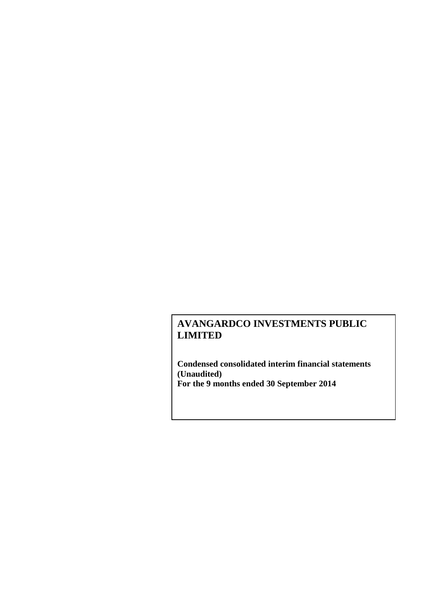**Condensed consolidated interim financial statements (Unaudited) For the 9 months ended 30 September 2014**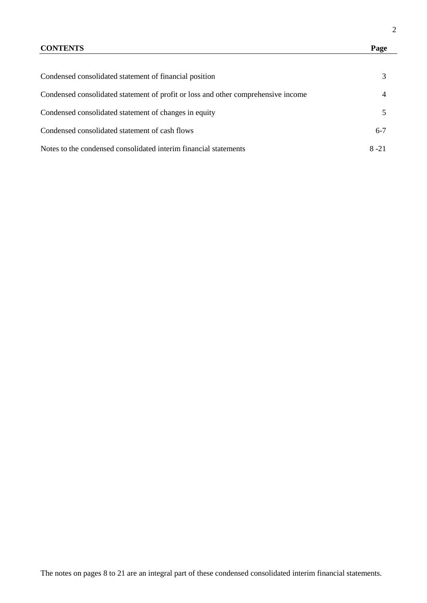# **CONTENTS Page**

| Condensed consolidated statement of financial position                            | 3              |
|-----------------------------------------------------------------------------------|----------------|
| Condensed consolidated statement of profit or loss and other comprehensive income | $\overline{4}$ |
| Condensed consolidated statement of changes in equity                             | .5             |
| Condensed consolidated statement of cash flows                                    | $6 - 7$        |
| Notes to the condensed consolidated interim financial statements                  | $8 - 21$       |

2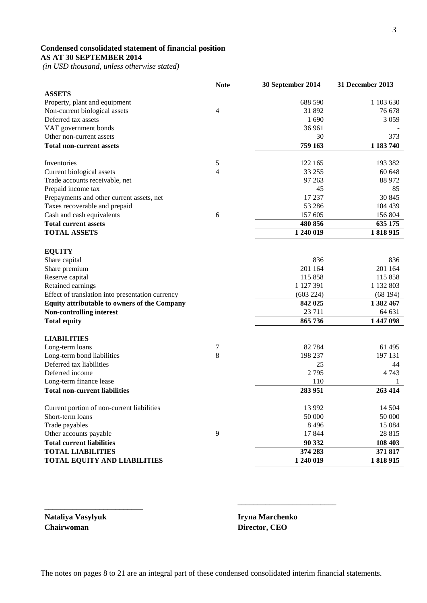# **Condensed consolidated statement of financial position AS AT 30 SEPTEMBER 2014**

*(in USD thousand, unless otherwise stated)*

|                                                            | <b>Note</b>    | 30 September 2014 | 31 December 2013 |
|------------------------------------------------------------|----------------|-------------------|------------------|
| <b>ASSETS</b>                                              |                |                   |                  |
| Property, plant and equipment                              |                | 688 590           | 1 103 630        |
| Non-current biological assets                              | 4              | 31 892            | 76 678           |
| Deferred tax assets                                        |                | 1690              | 3 0 5 9          |
| VAT government bonds                                       |                | 36 961            |                  |
| Other non-current assets                                   |                | 30                | 373              |
| <b>Total non-current assets</b>                            |                | 759 163           | 1 183 740        |
| Inventories                                                | 5              | 122 165           | 193 382          |
| Current biological assets                                  | 4              | 33 255            | 60 648           |
| Trade accounts receivable, net                             |                | 97 263            | 88 972           |
| Prepaid income tax                                         |                | 45                | 85               |
| Prepayments and other current assets, net                  |                | 17 237            | 30 845           |
| Taxes recoverable and prepaid                              |                | 53 28 6           | 104 439          |
| Cash and cash equivalents                                  | 6              | 157 605           | 156 804          |
| <b>Total current assets</b>                                |                | 480 856           | 635 175          |
| <b>TOTAL ASSETS</b>                                        |                | 1 240 019         | 1818915          |
|                                                            |                |                   |                  |
| <b>EQUITY</b>                                              |                |                   |                  |
| Share capital                                              |                | 836               | 836              |
| Share premium                                              |                | 201 164           | 201 164          |
| Reserve capital                                            |                | 115 858           | 115 858          |
| Retained earnings                                          |                | 1 127 391         | 1 132 803        |
| Effect of translation into presentation currency           |                | (603 224)         | (68194)          |
| Equity attributable to owners of the Company               |                | 842 025           | 1 382 467        |
| Non-controlling interest                                   |                | 23 7 11           | 64 631           |
|                                                            |                | 865 736           | 1 447 098        |
| <b>Total equity</b>                                        |                |                   |                  |
| <b>LIABILITIES</b>                                         |                |                   |                  |
| Long-term loans                                            | 7              | 82784             | 61 495           |
| Long-term bond liabilities                                 | 8              | 198 237           | 197 131          |
| Deferred tax liabilities                                   |                | 25                | 44               |
| Deferred income                                            |                | 2795              | 4 7 4 3          |
| Long-term finance lease                                    |                | 110               | 1                |
| <b>Total non-current liabilities</b>                       |                | 283 951           | 263 414          |
| Current portion of non-current liabilities                 |                | 13 992            | 14 504           |
| Short-term loans                                           |                | 50 000            | 50 000           |
| Trade payables                                             |                | 8496              | 15 084           |
|                                                            | $\overline{9}$ | 17844             | 28 815           |
| Other accounts payable<br><b>Total current liabilities</b> |                |                   |                  |
|                                                            |                | 90 332            | 108 403          |
| <b>TOTAL LIABILITIES</b>                                   |                | 374 283           | 371 817          |
| <b>TOTAL EQUITY AND LIABILITIES</b>                        |                | 1 240 019         | 1818915          |

**Nataliya Vasylyuk Iryna Marchenko Chairwoman Director, CEO**

\_\_\_\_\_\_\_\_\_\_\_\_\_\_\_\_\_\_\_\_\_\_\_\_\_

\_\_\_\_\_\_\_\_\_\_\_\_\_\_\_\_\_\_\_\_\_\_\_\_\_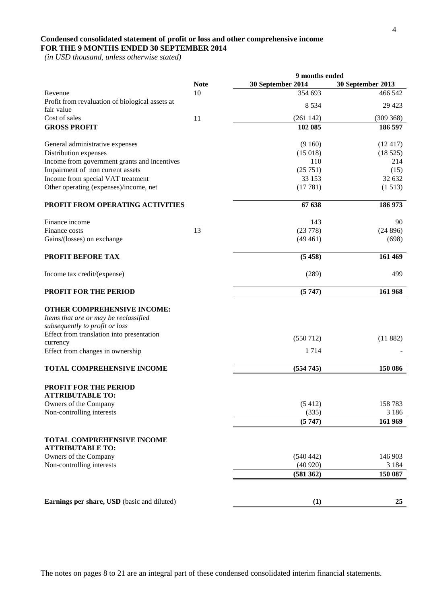# **Condensed consolidated statement of profit or loss and other comprehensive income FOR THE 9 MONTHS ENDED 30 SEPTEMBER 2014**

 *(in USD thousand, unless otherwise stated)*

|                                                                                                               |             | 9 months ended    |                   |
|---------------------------------------------------------------------------------------------------------------|-------------|-------------------|-------------------|
|                                                                                                               | <b>Note</b> | 30 September 2014 | 30 September 2013 |
| Revenue                                                                                                       | 10          | 354 693           | 466 542           |
| Profit from revaluation of biological assets at                                                               |             | 8 5 3 4           | 29 4 23           |
| fair value                                                                                                    |             |                   |                   |
| Cost of sales                                                                                                 | 11          | (261142)          | (309 368)         |
| <b>GROSS PROFIT</b>                                                                                           |             | 102 085           | 186 597           |
| General administrative expenses                                                                               |             | (9160)            | (12417)           |
| Distribution expenses                                                                                         |             | (15018)           | (18525)           |
| Income from government grants and incentives                                                                  |             | 110               | 214               |
| Impairment of non current assets                                                                              |             | (25751)           | (15)              |
| Income from special VAT treatment                                                                             |             | 33 153            | 32 632            |
| Other operating (expenses)/income, net                                                                        |             | (17781)           | (1513)            |
| PROFIT FROM OPERATING ACTIVITIES                                                                              |             | 67 638            | 186 973           |
|                                                                                                               |             |                   |                   |
| Finance income                                                                                                |             | 143<br>(23778)    | 90                |
| Finance costs                                                                                                 | 13          |                   | (24896)           |
| Gains/(losses) on exchange                                                                                    |             | (49461)           | (698)             |
| PROFIT BEFORE TAX                                                                                             |             | (5458)            | 161 469           |
| Income tax credit/(expense)                                                                                   |             | (289)             | 499               |
| <b>PROFIT FOR THE PERIOD</b>                                                                                  |             | (5747)            | 161 968           |
| <b>OTHER COMPREHENSIVE INCOME:</b><br>Items that are or may be reclassified<br>subsequently to profit or loss |             |                   |                   |
| Effect from translation into presentation                                                                     |             | (550712)          | (11882)           |
| currency                                                                                                      |             |                   |                   |
| Effect from changes in ownership                                                                              |             | 1 7 1 4           |                   |
| TOTAL COMPREHENSIVE INCOME                                                                                    |             | (554745)          | 150 086           |
| <b>PROFIT FOR THE PERIOD</b><br><b>ATTRIBUTABLE TO:</b>                                                       |             |                   |                   |
| Owners of the Company                                                                                         |             | (5412)            | 158783            |
| Non-controlling interests                                                                                     |             | (335)             | 3 1 8 6           |
|                                                                                                               |             | (5747)            | 161 969           |
| <b>TOTAL COMPREHENSIVE INCOME</b>                                                                             |             |                   |                   |
| <b>ATTRIBUTABLE TO:</b><br>Owners of the Company                                                              |             | (540442)          | 146 903           |
| Non-controlling interests                                                                                     |             | (40920)           | 3 1 8 4           |
|                                                                                                               |             | (581362)          | 150 087           |
|                                                                                                               |             |                   |                   |
| Earnings per share, USD (basic and diluted)                                                                   |             | (1)               | 25                |
|                                                                                                               |             |                   |                   |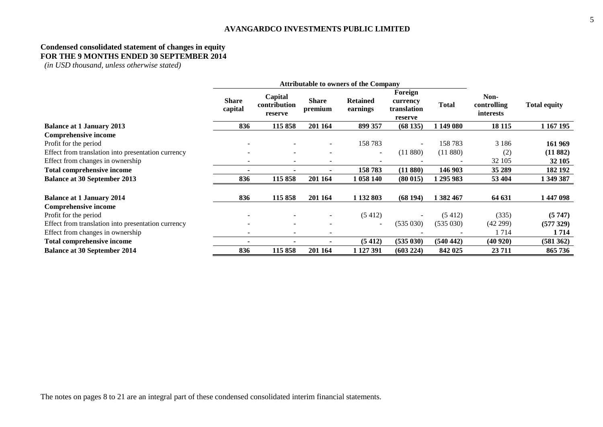# **Condensed consolidated statement of changes in equity FOR THE 9 MONTHS ENDED 30 SEPTEMBER 2014**

*(in USD thousand, unless otherwise stated)*

|                                                    | <b>Attributable to owners of the Company</b> |                                    |                          |                             |                                               |              |                                         |                     |
|----------------------------------------------------|----------------------------------------------|------------------------------------|--------------------------|-----------------------------|-----------------------------------------------|--------------|-----------------------------------------|---------------------|
|                                                    | <b>Share</b><br>capital                      | Capital<br>contribution<br>reserve | <b>Share</b><br>premium  | <b>Retained</b><br>earnings | Foreign<br>currency<br>translation<br>reserve | <b>Total</b> | Non-<br>controlling<br><i>interests</i> | <b>Total equity</b> |
| <b>Balance at 1 January 2013</b>                   | 836                                          | 115 858                            | 201 164                  | 899 357                     | (68135)                                       | 1 149 080    | 18 11 5                                 | 1 167 195           |
| Comprehensive income                               |                                              |                                    |                          |                             |                                               |              |                                         |                     |
| Profit for the period                              |                                              |                                    | $\overline{\phantom{a}}$ | 158 783                     |                                               | 158783       | 3 1 8 6                                 | 161 969             |
| Effect from translation into presentation currency |                                              | $\overline{\phantom{a}}$           | $\overline{\phantom{a}}$ | $\overline{\phantom{a}}$    | (11880)                                       | (11 880)     | (2)                                     | (11882)             |
| Effect from changes in ownership                   |                                              | $\overline{\phantom{0}}$           | $\overline{\phantom{0}}$ |                             |                                               |              | 32 105                                  | 32 105              |
| <b>Total comprehensive income</b>                  |                                              | $\overline{\phantom{a}}$           | ۰                        | 158783                      | (11 880)                                      | 146 903      | 35 289                                  | 182 192             |
| <b>Balance at 30 September 2013</b>                | 836                                          | 115 858                            | 201 164                  | 1 058 140                   | (80015)                                       | 1 295 983    | 53 404                                  | 1 349 387           |
| <b>Balance at 1 January 2014</b>                   | 836                                          | 115 858                            | 201 164                  | 1 132 803                   | (68194)                                       | 1 382 467    | 64 631                                  | 1447098             |
| <b>Comprehensive income</b>                        |                                              |                                    |                          |                             |                                               |              |                                         |                     |
| Profit for the period                              |                                              |                                    | $\overline{\phantom{a}}$ | (5412)                      |                                               | (5412)       | (335)                                   | (5747)              |
| Effect from translation into presentation currency |                                              | $\overline{\phantom{a}}$           | $\overline{\phantom{a}}$ | $\overline{\phantom{a}}$    | (535030)                                      | (535030)     | (42299)                                 | (577329)            |
| Effect from changes in ownership                   |                                              |                                    |                          |                             |                                               |              | 1714                                    | 1 7 1 4             |
| <b>Total comprehensive income</b>                  |                                              |                                    |                          | (5412)                      | (535 030)                                     | (540 442)    | (40920)                                 | (581 362)           |
| <b>Balance at 30 September 2014</b>                | 836                                          | 115 858                            | 201 164                  | 1 127 391                   | (603 224)                                     | 842 025      | 23 7 11                                 | 865 736             |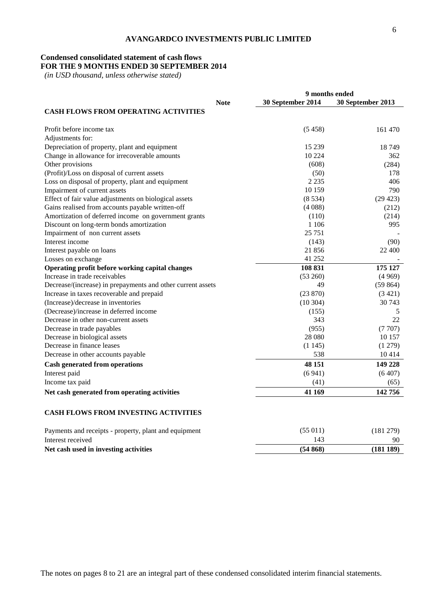# **Condensed consolidated statement of cash flows**

# **FOR THE 9 MONTHS ENDED 30 SEPTEMBER 2014**

 *(in USD thousand, unless otherwise stated)*

|                                                             | 9 months ended    |                   |
|-------------------------------------------------------------|-------------------|-------------------|
| <b>Note</b>                                                 | 30 September 2014 | 30 September 2013 |
| <b>CASH FLOWS FROM OPERATING ACTIVITIES</b>                 |                   |                   |
| Profit before income tax                                    | (5458)            | 161 470           |
| Adjustments for:                                            |                   |                   |
| Depreciation of property, plant and equipment               | 15 2 39           | 18749             |
| Change in allowance for irrecoverable amounts               | 10 224            | 362               |
| Other provisions                                            | (608)             | (284)             |
| (Profit)/Loss on disposal of current assets                 | (50)              | 178               |
| Loss on disposal of property, plant and equipment           | 2 2 3 5           | 406               |
| Impairment of current assets                                | 10 159            | 790               |
| Effect of fair value adjustments on biological assets       | (8534)            | (29 423)          |
| Gains realised from accounts payable written-off            | (4088)            | (212)             |
| Amortization of deferred income on government grants        | (110)             | (214)             |
| Discount on long-term bonds amortization                    | 1 1 0 6           | 995               |
| Impairment of non current assets                            | 25 7 51           |                   |
| Interest income                                             | (143)             | (90)              |
| Interest payable on loans                                   | 21856             | 22 400            |
| Losses on exchange                                          | 41 252            |                   |
| Operating profit before working capital changes             | 108 831           | 175 127           |
| Increase in trade receivables                               | (53 260)          | (4969)            |
| Decrease/(increase) in prepayments and other current assets | 49                | (59864)           |
| Increase in taxes recoverable and prepaid                   | (23 870)          | (3 421)           |
| (Increase)/decrease in inventories                          | (10304)           | 30 743            |
| (Decrease)/increase in deferred income                      | (155)             | 5                 |
| Decrease in other non-current assets                        | 343               | 22                |
| Decrease in trade payables                                  | (955)             | (7707)            |
| Decrease in biological assets                               | 28 080            | 10 157            |
| Decrease in finance leases                                  | (1145)            | (1 279)           |
| Decrease in other accounts payable                          | 538               | 10414             |
| <b>Cash generated from operations</b>                       | 48 151            | 149 228           |
| Interest paid                                               | (6941)            | (6407)            |
| Income tax paid                                             | (41)              | (65)              |
| Net cash generated from operating activities                | 41 169            | 142756            |
|                                                             |                   |                   |

# **CASH FLOWS FROM INVESTING ACTIVITIES**

| Payments and receipts - property, plant and equipment | (55011) | (181 279) |
|-------------------------------------------------------|---------|-----------|
| Interest received                                     |         | 90        |
| Net cash used in investing activities                 | (54868) | (181 189) |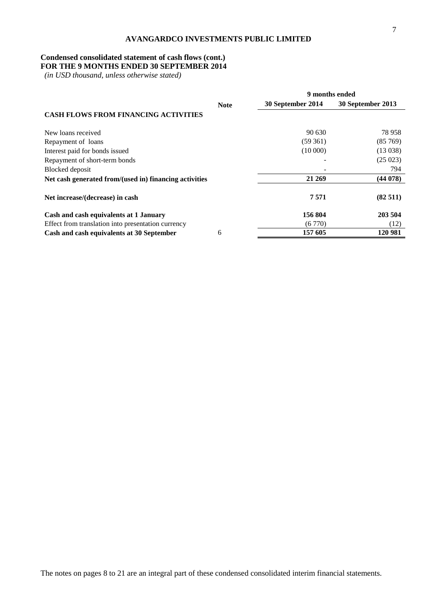# **Condensed consolidated statement of cash flows (cont.)**

# **FOR THE 9 MONTHS ENDED 30 SEPTEMBER 2014**

 *(in USD thousand, unless otherwise stated)*

|                                                        |             | 9 months ended    |                   |  |
|--------------------------------------------------------|-------------|-------------------|-------------------|--|
|                                                        | <b>Note</b> | 30 September 2014 | 30 September 2013 |  |
| <b>CASH FLOWS FROM FINANCING ACTIVITIES</b>            |             |                   |                   |  |
| New loans received                                     |             | 90.630            | 78 958            |  |
| Repayment of loans                                     |             | (59361)           | (85769)           |  |
| Interest paid for bonds issued                         |             | (10000)           | (13038)           |  |
| Repayment of short-term bonds                          |             |                   | (25023)           |  |
| Blocked deposit                                        |             |                   | 794               |  |
| Net cash generated from/(used in) financing activities |             | 21 269            | (44078)           |  |
| Net increase/(decrease) in cash                        |             | 7571              | (82511)           |  |
| Cash and cash equivalents at 1 January                 |             | 156 804           | 203 504           |  |
| Effect from translation into presentation currency     |             | (6770)            | (12)              |  |
| Cash and cash equivalents at 30 September              | 6           | 157 605           | 120 981           |  |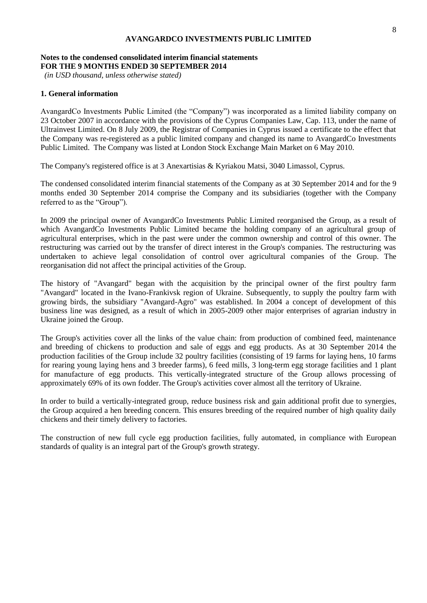# **Notes to the condensed consolidated interim financial statements FOR THE 9 MONTHS ENDED 30 SEPTEMBER 2014**

*(in USD thousand, unless otherwise stated)*

# **1. General information**

AvangardCo Investments Public Limited (the "Company") was incorporated as a limited liability company on 23 October 2007 in accordance with the provisions of the Cyprus Companies Law, Cap. 113, under the name of Ultrainvest Limited. On 8 July 2009, the Registrar of Companies in Cyprus issued a certificate to the effect that the Company was re-registered as a public limited company and changed its name to AvangardCo Investments Public Limited. The Company was listed at London Stock Exchange Main Market on 6 May 2010.

The Company's registered office is at 3 Anexartisias & Kyriakou Matsi, 3040 Limassol, Cyprus.

The condensed consolidated interim financial statements of the Company as at 30 September 2014 and for the 9 months ended 30 September 2014 comprise the Company and its subsidiaries (together with the Company referred to as the "Group").

In 2009 the principal owner of AvangardCo Investments Public Limited reorganised the Group, as a result of which AvangardCo Investments Public Limited became the holding company of an agricultural group of agricultural enterprises, which in the past were under the common ownership and control of this owner. The restructuring was carried out by the transfer of direct interest in the Group's companies. The restructuring was undertaken to achieve legal consolidation of control over agricultural companies of the Group. The reorganisation did not affect the principal activities of the Group.

The history of "Avangard" began with the acquisition by the principal owner of the first poultry farm "Avangard" located in the Ivano-Frankivsk region of Ukraine. Subsequently, to supply the poultry farm with growing birds, the subsidiary "Avangard-Agro" was established. In 2004 a concept of development of this business line was designed, as a result of which in 2005-2009 other major enterprises of agrarian industry in Ukraine joined the Group.

The Group's activities cover all the links of the value chain: from production of combined feed, maintenance and breeding of chickens to production and sale of eggs and egg products. As at 30 September 2014 the production facilities of the Group include 32 poultry facilities (consisting of 19 farms for laying hens, 10 farms for rearing young laying hens and 3 breeder farms), 6 feed mills, 3 long-term egg storage facilities and 1 plant for manufacture of egg products. This vertically-integrated structure of the Group allows processing of approximately 69% of its own fodder. The Group's activities cover almost all the territory of Ukraine.

In order to build a vertically-integrated group, reduce business risk and gain additional profit due to synergies, the Group acquired a hen breeding concern. This ensures breeding of the required number of high quality daily chickens and their timely delivery to factories.

The construction of new full cycle egg production facilities, fully automated, in compliance with European standards of quality is an integral part of the Group's growth strategy.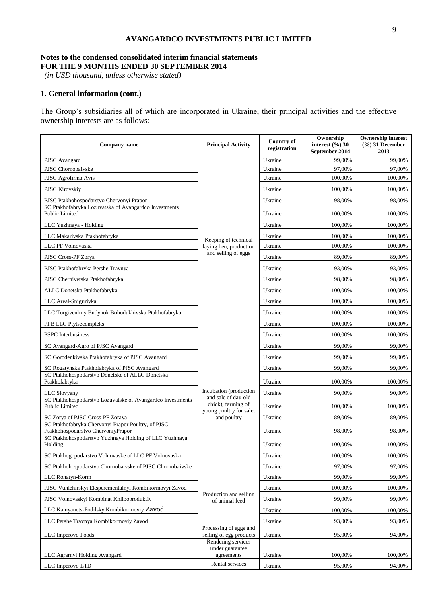# **Notes to the condensed consolidated interim financial statements FOR THE 9 MONTHS ENDED 30 SEPTEMBER 2014**

*(in USD thousand, unless otherwise stated)*

# **1. General information (cont.)**

The Group's subsidiaries all of which are incorporated in Ukraine, their principal activities and the effective ownership interests are as follows:

| Company name                                                                             | <b>Principal Activity</b>                                            | <b>Country of</b><br>registration | Ownership<br>interest $(\frac{6}{0})$ 30<br>September 2014 | <b>Ownership interest</b><br>$(\frac{9}{6})$ 31 December<br>2013 |
|------------------------------------------------------------------------------------------|----------------------------------------------------------------------|-----------------------------------|------------------------------------------------------------|------------------------------------------------------------------|
| PJSC Avangard                                                                            |                                                                      | Ukraine                           | 99,00%                                                     | 99,00%                                                           |
| PJSC Chornobaivske                                                                       |                                                                      | Ukraine                           | 97,00%                                                     | 97,00%                                                           |
| PJSC Agrofirma Avis                                                                      |                                                                      | Ukraine                           | 100,00%                                                    | 100,00%                                                          |
| PJSC Kirovskiy                                                                           |                                                                      | Ukraine                           | 100,00%                                                    | 100,00%                                                          |
| PJSC Ptakhohospodarstvo Chervonyi Prapor                                                 |                                                                      | Ukraine                           | 98,00%                                                     | 98,00%                                                           |
| SC Ptakhofabryka Lozuvatska of Avangardco Investments<br>Public Limited                  |                                                                      | Ukraine                           | 100,00%                                                    | 100,00%                                                          |
| LLC Yuzhnaya - Holding                                                                   |                                                                      | Ukraine                           | 100,00%                                                    | 100,00%                                                          |
| LLC Makarivska Ptakhofabryka                                                             | Keeping of technical                                                 | Ukraine                           | 100,00%                                                    | 100,00%                                                          |
| LLC PF Volnovaska                                                                        | laying hen, production                                               | Ukraine                           | 100,00%                                                    | 100,00%                                                          |
| PJSC Cross-PF Zorya                                                                      | and selling of eggs                                                  | Ukraine                           | 89,00%                                                     | 89,00%                                                           |
| PJSC Ptakhofabryka Pershe Travnya                                                        |                                                                      | Ukraine                           | 93,00%                                                     | 93,00%                                                           |
| PJSC Chernivetska Ptakhofabryka                                                          |                                                                      | Ukraine                           | 98,00%                                                     | 98,00%                                                           |
| ALLC Donetska Ptakhofabryka                                                              |                                                                      | Ukraine                           | 100,00%                                                    | 100,00%                                                          |
| LLC Areal-Snigurivka                                                                     |                                                                      | Ukraine                           | 100,00%                                                    | 100,00%                                                          |
| LLC Torgivenlniy Budynok Bohodukhivska Ptakhofabryka                                     |                                                                      | Ukraine                           | 100,00%                                                    | 100,00%                                                          |
| PPB LLC Ptytsecompleks                                                                   |                                                                      | Ukraine                           | 100,00%                                                    | 100,00%                                                          |
| <b>PSPC</b> Interbusiness                                                                |                                                                      | Ukraine                           | 100,00%                                                    | 100,00%                                                          |
| SC Avangard-Agro of PJSC Avangard                                                        |                                                                      | Ukraine                           | 99,00%                                                     | 99,00%                                                           |
| SC Gorodenkivska Ptakhofabryka of PJSC Avangard                                          |                                                                      | Ukraine                           | 99,00%                                                     | 99,00%                                                           |
| SC Rogatynska Ptakhofabryka of PJSC Avangard                                             |                                                                      | Ukraine                           | 99,00%                                                     | 99,00%                                                           |
| SC Ptakhohospodarstvo Donetske of ALLC Donetska<br>Ptakhofabryka                         |                                                                      | Ukraine                           | 100,00%                                                    | 100,00%                                                          |
| LLC Slovyany                                                                             | Incubation (production                                               | Ukraine                           | 90,00%                                                     | 90,00%                                                           |
| SC Ptakhohospodarstvo Lozuvatske of Avangardco Investments<br>Public Limited             | and sale of day-old<br>chick), farming of<br>young poultry for sale, | Ukraine                           | 100,00%                                                    | 100,00%                                                          |
| SC Zorya of PJSC Cross-PF Zoraya                                                         | and poultry                                                          | Ukraine                           | 89,00%                                                     | 89,00%                                                           |
| SC Ptakhofabryka Chervonyi Prapor Poultry, of PJSC<br>Ptakhohospodarstvo ChervoniyPrapor |                                                                      | Ukraine                           | 98,00%                                                     | 98,00%                                                           |
| SC Ptakhohospodarstvo Yuzhnaya Holding of LLC Yuzhnaya<br>Holding                        |                                                                      | Ukraine                           | 100,00%                                                    | 100,00%                                                          |
| SC Ptakhogopodarstvo Volnovaske of LLC PF Volnovaska                                     |                                                                      | Ukraine                           | 100,00%                                                    | 100,00%                                                          |
| SC Ptakhohospodarstvo Chornobaivske of PJSC Chornobaivske                                |                                                                      | Ukraine                           | 97,00%                                                     | 97,00%                                                           |
| LLC Rohatyn-Korm                                                                         |                                                                      | Ukraine                           | 99,00%                                                     | 99,00%                                                           |
| PJSC Vuhlehirskyi Eksperementalnyi Kombikormovyi Zavod                                   |                                                                      | Ukraine                           | 100,00%                                                    | 100,00%                                                          |
| PJSC Volnovaskyi Kombinat Khliboproduktiv                                                | Production and selling<br>of animal feed                             | Ukraine                           | 99,00%                                                     | 99,00%                                                           |
| LLC Kamyanets-Podilsky Kombikormoviy Zavod                                               |                                                                      | Ukraine                           | 100,00%                                                    | 100,00%                                                          |
| LLC Pershe Travnya Kombikormoviy Zavod                                                   |                                                                      | Ukraine                           | 93,00%                                                     | 93,00%                                                           |
| LLC Imperovo Foods                                                                       | Processing of eggs and<br>selling of egg products                    | Ukraine                           | 95,00%                                                     | 94,00%                                                           |
|                                                                                          | Rendering services<br>under guarantee                                |                                   |                                                            |                                                                  |
| LLC Agrarnyi Holding Avangard                                                            | agreements                                                           | Ukraine                           | 100,00%                                                    | 100,00%                                                          |
| LLC Imperovo LTD                                                                         | Rental services                                                      | Ukraine                           | 95,00%                                                     | 94,00%                                                           |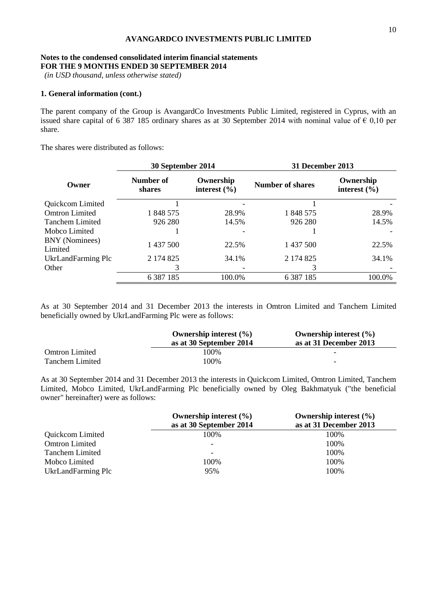#### **Notes to the condensed consolidated interim financial statements FOR THE 9 MONTHS ENDED 30 SEPTEMBER 2014**

*(in USD thousand, unless otherwise stated)*

# **1. General information (cont.)**

The parent company of the Group is AvangardCo Investments Public Limited, registered in Cyprus, with an issued share capital of 6 387 185 ordinary shares as at 30 September 2014 with nominal value of  $\epsilon$  0,10 per share.

The shares were distributed as follows:

|                           |                                                      | 30 September 2014 |                         | <b>31 December 2013</b>       |  |
|---------------------------|------------------------------------------------------|-------------------|-------------------------|-------------------------------|--|
| Owner                     | Number of<br>Ownership<br>interest $(\% )$<br>shares |                   | <b>Number of shares</b> | Ownership<br>interest $(\% )$ |  |
| Quickcom Limited          |                                                      |                   |                         |                               |  |
| <b>Omtron Limited</b>     | 1 848 575                                            | 28.9%             | 1 848 575               | 28.9%                         |  |
| <b>Tanchem Limited</b>    | 926 280                                              | 14.5%             | 926 280                 | 14.5%                         |  |
| Mobco Limited             |                                                      |                   |                         |                               |  |
| BNY (Nominees)<br>Limited | 1 437 500                                            | 22.5%             | 1 437 500               | 22.5%                         |  |
| UkrLandFarming Plc        | 2 174 825                                            | 34.1%             | 2 174 825               | 34.1%                         |  |
| Other                     | 3                                                    |                   |                         |                               |  |
|                           | 6 3 8 7 1 8 5                                        | 100.0%            | 6 3 8 7 1 8 5           | 100.0%                        |  |

As at 30 September 2014 and 31 December 2013 the interests in Omtron Limited and Tanchem Limited beneficially owned by UkrLandFarming Plc were as follows:

|                       | Ownership interest $(\% )$ | Ownership interest $(\% )$ |
|-----------------------|----------------------------|----------------------------|
|                       | as at 30 September 2014    | as at 31 December 2013     |
| <b>Omtron Limited</b> | 100%                       | -                          |
| Tanchem Limited       | 100%                       | -                          |

As at 30 September 2014 and 31 December 2013 the interests in Quickcom Limited, Omtron Limited, Tanchem Limited, Mobco Limited, UkrLandFarming Plc beneficially owned by Oleg Bakhmatyuk ("the beneficial owner" hereinafter) were as follows:

|                        | Ownership interest $(\% )$ | Ownership interest $(\% )$ |
|------------------------|----------------------------|----------------------------|
|                        | as at 30 September 2014    | as at 31 December 2013     |
| Quickcom Limited       | 100%                       | 100%                       |
| <b>Omtron Limited</b>  |                            | 100%                       |
| <b>Tanchem Limited</b> | -                          | 100%                       |
| Mobco Limited          | 100%                       | 100%                       |
| UkrLandFarming Plc     | 95%                        | 100%                       |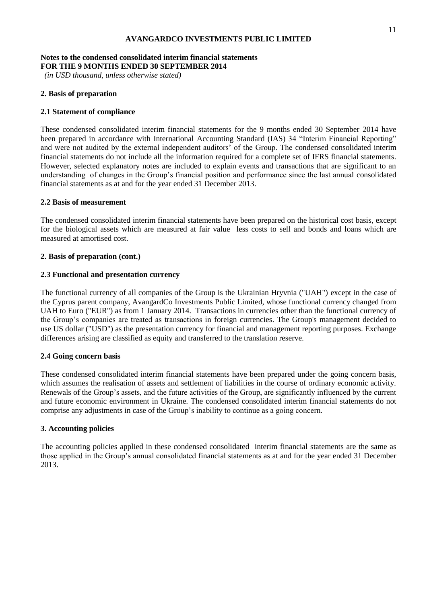#### **Notes to the condensed consolidated interim financial statements FOR THE 9 MONTHS ENDED 30 SEPTEMBER 2014**

*(in USD thousand, unless otherwise stated)*

# **2. Basis of preparation**

# **2.1 Statement of compliance**

These condensed consolidated interim financial statements for the 9 months ended 30 September 2014 have been prepared in accordance with International Accounting Standard (IAS) 34 "Interim Financial Reporting" and were not audited by the external independent auditors' of the Group. The condensed consolidated interim financial statements do not include all the information required for a complete set of IFRS financial statements. However, selected explanatory notes are included to explain events and transactions that are significant to an understanding of changes in the Group's financial position and performance since the last annual consolidated financial statements as at and for the year ended 31 December 2013.

# **2.2 Basis of measurement**

The condensed consolidated interim financial statements have been prepared on the historical cost basis, except for the biological assets which are measured at fair value less costs to sell and bonds and loans which are measured at amortised cost.

# **2. Basis of preparation (cont.)**

# **2.3 Functional and presentation currency**

The functional currency of all companies of the Group is the Ukrainian Hryvnia ("UAH") except in the case of the Cyprus parent company, AvangardCo Investments Public Limited, whose functional currency changed from UAH to Euro ("EUR") as from 1 January 2014. Transactions in currencies other than the functional currency of the Group's companies are treated as transactions in foreign currencies. The Group's management decided to use US dollar ("USD") as the presentation currency for financial and management reporting purposes. Exchange differences arising are classified as equity and transferred to the translation reserve.

#### **2.4 Going concern basis**

These condensed consolidated interim financial statements have been prepared under the going concern basis, which assumes the realisation of assets and settlement of liabilities in the course of ordinary economic activity. Renewals of the Group's assets, and the future activities of the Group, are significantly influenced by the current and future economic environment in Ukraine. The condensed consolidated interim financial statements do not comprise any adjustments in case of the Group's inability to continue as a going concern.

#### **3. Accounting policies**

The accounting policies applied in these condensed consolidated interim financial statements are the same as those applied in the Group's annual consolidated financial statements as at and for the year ended 31 December 2013.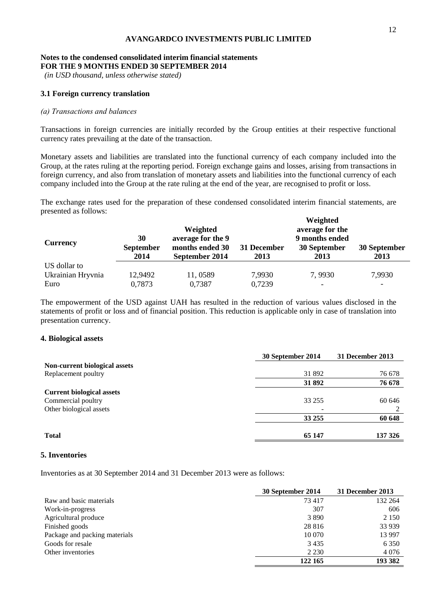#### **Notes to the condensed consolidated interim financial statements FOR THE 9 MONTHS ENDED 30 SEPTEMBER 2014**

*(in USD thousand, unless otherwise stated)*

#### **3.1 Foreign currency translation**

#### *(а) Transactions and balances*

Transactions in foreign currencies are initially recorded by the Group entities at their respective functional currency rates prevailing at the date of the transaction.

Monetary assets and liabilities are translated into the functional currency of each company included into the Group, at the rates ruling at the reporting period. Foreign exchange gains and losses, arising from transactions in foreign currency, and also from translation of monetary assets and liabilities into the functional currency of each company included into the Group at the rate ruling at the end of the year, are recognised to profit or loss.

The exchange rates used for the preparation of these condensed consolidated interim financial statements, are presented as follows: **WEIGHT** 

| <b>Currency</b>   | 30<br><b>September</b><br>2014 | Weighted<br>average for the 9<br>months ended 30<br>September 2014 | 31 December<br>2013 | Weighted<br>average for the<br>9 months ended<br>30 September<br>2013 | 30 September<br>2013 |
|-------------------|--------------------------------|--------------------------------------------------------------------|---------------------|-----------------------------------------------------------------------|----------------------|
| US dollar to      |                                |                                                                    |                     |                                                                       |                      |
| Ukrainian Hryvnia | 12,9492                        | 11,0589                                                            | 7,9930              | 7,9930                                                                | 7,9930               |
| Euro              | 0,7873                         | 0,7387                                                             | 0,7239              |                                                                       |                      |

The empowerment of the USD against UAH has resulted in the reduction of various values disclosed in the statements of profit or loss and of financial position. This reduction is applicable only in case of translation into presentation currency.

#### **4. Biological assets**

| 30 September 2014 | 31 December 2013 |
|-------------------|------------------|
|                   |                  |
| 31 892            | 76 678           |
| 31 892            | 76 678           |
|                   |                  |
| 33 255            | 60 646           |
|                   |                  |
| 33 255            | 60 648           |
| 65 147            | 137 326          |
|                   |                  |

## **5. Inventories**

Inventories as at 30 September 2014 and 31 December 2013 were as follows:

|                               | 30 September 2014 | 31 December 2013 |
|-------------------------------|-------------------|------------------|
| Raw and basic materials       | 73417             | 132 264          |
| Work-in-progress              | 307               | 606              |
| Agricultural produce          | 3890              | 2 1 5 0          |
| Finished goods                | 28 8 16           | 33 939           |
| Package and packing materials | 10 070            | 13 997           |
| Goods for resale              | 3435              | 6 3 5 0          |
| Other inventories             | 2 2 3 0           | 4 0 7 6          |
|                               | 122 165           | 193 382          |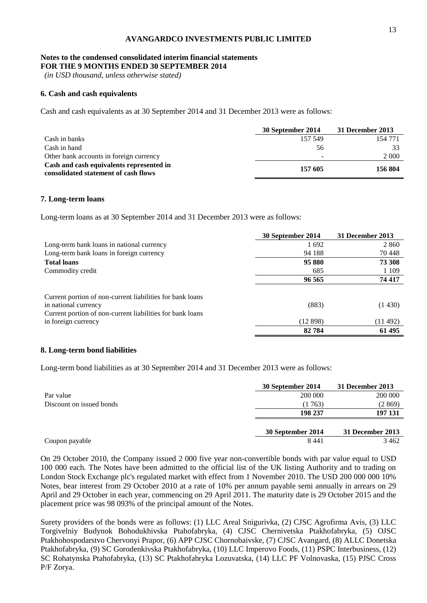#### **Notes to the condensed consolidated interim financial statements FOR THE 9 MONTHS ENDED 30 SEPTEMBER 2014**

*(in USD thousand, unless otherwise stated)*

# **6. Cash and cash equivalents**

Cash and cash equivalents as at 30 September 2014 and 31 December 2013 were as follows:

|                                                                                  | 30 September 2014        | 31 December 2013 |
|----------------------------------------------------------------------------------|--------------------------|------------------|
| Cash in banks                                                                    | 157 549                  | 154 771          |
| Cash in hand                                                                     | 56                       | 33               |
| Other bank accounts in foreign currency                                          | $\overline{\phantom{0}}$ | 2 0 0 0          |
| Cash and cash equivalents represented in<br>consolidated statement of cash flows | 157 605                  | 156 804          |

# **7. Long-term loans**

Long-term loans as at 30 September 2014 and 31 December 2013 were as follows:

|                                                                                   | 30 September 2014 | 31 December 2013 |
|-----------------------------------------------------------------------------------|-------------------|------------------|
| Long-term bank loans in national currency                                         | 1692              | 2 8 6 0          |
| Long-term bank loans in foreign currency                                          | 94 188            | 70 448           |
| <b>Total loans</b>                                                                | 95 880            | 73 308           |
| Commodity credit                                                                  | 685               | 1 1 0 9          |
|                                                                                   | 96 565            | 74 417           |
| Current portion of non-current liabilities for bank loans                         |                   |                  |
| in national currency<br>Current portion of non-current liabilities for bank loans | (883)             | (1430)           |
| in foreign currency                                                               | (12 898)          | (11492)          |
|                                                                                   | 82784             | 61 495           |

#### **8. Long-term bond liabilities**

Long-term bond liabilities as at 30 September 2014 and 31 December 2013 were as follows:

|                          | 30 September 2014 | 31 December 2013 |
|--------------------------|-------------------|------------------|
| Par value                | 200 000           | 200 000          |
| Discount on issued bonds | (1 763)           | (2 869)          |
|                          | 198 237           | 197 131          |
|                          |                   |                  |
|                          | 30 September 2014 | 31 December 2013 |
| Coupon payable           | 8441              | 3 4 6 2          |

On 29 October 2010, the Company issued 2 000 five year non-convertible bonds with par value equal to USD 100 000 each. The Notes have been admitted to the official list of the UK listing Authority and to trading on London Stock Exchange plc's regulated market with effect from 1 November 2010. The USD 200 000 000 10% Notes, bear interest from 29 October 2010 at a rate of 10% per annum payable semi annually in arrears on 29 April and 29 October in each year, commencing on 29 April 2011. The maturity date is 29 October 2015 and the placement price was 98 093% of the principal amount of the Notes.

Surety providers of the bonds were as follows: (1) LLC Areal Snigurivka, (2) CJSC Agrofirma Avis, (3) LLC Torgivelniy Budynok Bohodukhivska Ptahofabryka, (4) CJSC Chernivetska Ptakhofabryka, (5) OJSC Ptakhohospodarstvo Chervonyi Prapor, (6) APP CJSC Chornobaivske, (7) CJSC Avangard, (8) ALLC Donetska Ptakhofabryka, (9) SC Gorodenkivska Ptakhofabryka, (10) LLC Imperovo Foods, (11) PSPC Interbusiness, (12) SC Rohatynska Ptahofabryka, (13) SC Ptakhofabryka Lozuvatska, (14) LLC PF Volnovaska, (15) PJSC Cross P/F Zorya.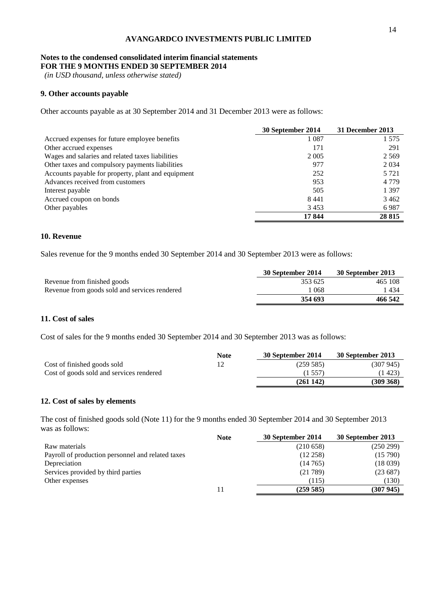#### **Notes to the condensed consolidated interim financial statements FOR THE 9 MONTHS ENDED 30 SEPTEMBER 2014**

*(in USD thousand, unless otherwise stated)*

# **9. Other accounts payable**

Other accounts payable as at 30 September 2014 and 31 December 2013 were as follows:

|                                                    | 30 September 2014 | 31 December 2013 |
|----------------------------------------------------|-------------------|------------------|
| Accrued expenses for future employee benefits      | 1 0 8 7           | 1 575            |
| Other accrued expenses                             | 171               | 291              |
| Wages and salaries and related taxes liabilities   | 2 0 0 5           | 2 5 6 9          |
| Other taxes and compulsory payments liabilities    | 977               | 2 0 3 4          |
| Accounts payable for property, plant and equipment | 252               | 5 7 2 1          |
| Advances received from customers                   | 953               | 4 7 7 9          |
| Interest payable                                   | 505               | 1 3 9 7          |
| Accrued coupon on bonds                            | 8441              | 3462             |
| Other payables                                     | 3453              | 6987             |
|                                                    | 17844             | 28 8 15          |

# **10. Revenue**

Sales revenue for the 9 months ended 30 September 2014 and 30 September 2013 were as follows:

|                                               | 30 September 2014 | 30 September 2013 |
|-----------------------------------------------|-------------------|-------------------|
| Revenue from finished goods                   | 353 625           | 465 108           |
| Revenue from goods sold and services rendered | 1 068             | 1 434             |
|                                               | 354 693           | 466 542           |

# **11. Cost of sales**

Cost of sales for the 9 months ended 30 September 2014 and 30 September 2013 was as follows:

|                                          | <b>Note</b> | 30 September 2014 | 30 September 2013 |
|------------------------------------------|-------------|-------------------|-------------------|
| Cost of finished goods sold              |             | (259 585)         | (307 945)         |
| Cost of goods sold and services rendered |             | (1 557)           | (1423)            |
|                                          |             | (261142)          | (309 368)         |

# **12. Cost of sales by elements**

The cost of finished goods sold (Note 11) for the 9 months ended 30 September 2014 and 30 September 2013 was as follows:

|                                                   | <b>Note</b> | 30 September 2014 | 30 September 2013 |
|---------------------------------------------------|-------------|-------------------|-------------------|
| Raw materials                                     |             | (210658)          | (250 299)         |
| Payroll of production personnel and related taxes |             | (12.258)          | (15790)           |
| Depreciation                                      |             | (14765)           | (18039)           |
| Services provided by third parties                |             | (21789)           | (23687)           |
| Other expenses                                    |             | (115)             | (130)             |
|                                                   |             | (259585)          | (307945)          |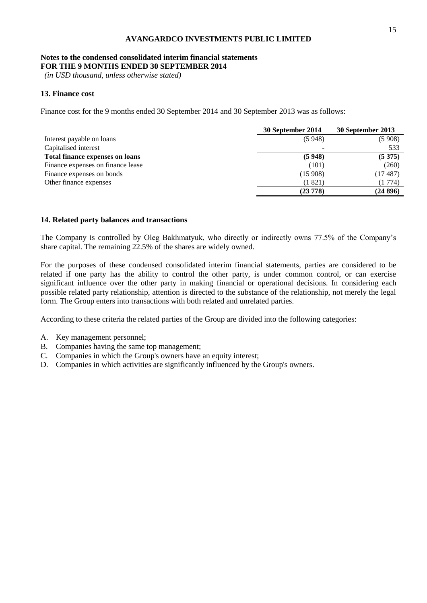#### **Notes to the condensed consolidated interim financial statements FOR THE 9 MONTHS ENDED 30 SEPTEMBER 2014**

*(in USD thousand, unless otherwise stated)*

# **13. Finance cost**

Finance cost for the 9 months ended 30 September 2014 and 30 September 2013 was as follows:

|                                        | 30 September 2014 | 30 September 2013 |
|----------------------------------------|-------------------|-------------------|
| Interest payable on loans              | (5948)            | (5908)            |
| Capitalised interest                   |                   | 533               |
| <b>Total finance expenses on loans</b> | (5948)            | (5375)            |
| Finance expenses on finance lease      | (101)             | (260)             |
| Finance expenses on bonds              | (15908)           | (17487)           |
| Other finance expenses                 | (1 821)           | (1 774)           |
|                                        | (23778)           | (24896)           |

### **14. Related party balances and transactions**

The Company is controlled by Oleg Bakhmatyuk, who directly or indirectly owns 77.5% of the Company's share capital. The remaining 22.5% of the shares are widely owned.

For the purposes of these condensed consolidated interim financial statements, parties are considered to be related if one party has the ability to control the other party, is under common control, or can exercise significant influence over the other party in making financial or operational decisions. In considering each possible related party relationship, attention is directed to the substance of the relationship, not merely the legal form. The Group enters into transactions with both related and unrelated parties.

According to these criteria the related parties of the Group are divided into the following categories:

- A. Key management personnel;
- B. Companies having the same top management;
- C. Companies in which the Group's owners have an equity interest;
- D. Companies in which activities are significantly influenced by the Group's owners.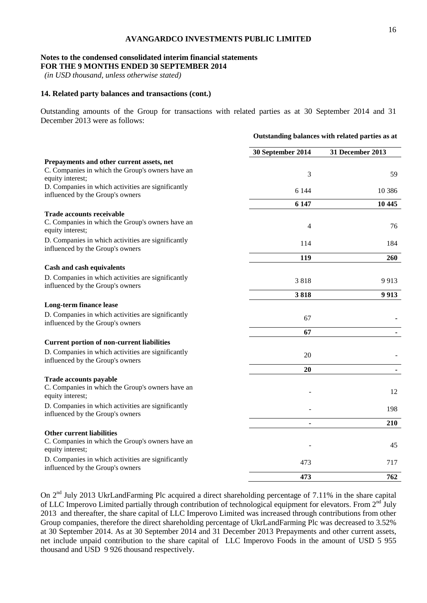#### **Notes to the condensed consolidated interim financial statements FOR THE 9 MONTHS ENDED 30 SEPTEMBER 2014**

*(in USD thousand, unless otherwise stated)*

# **14. Related party balances and transactions (cont.)**

Outstanding amounts of the Group for transactions with related parties as at 30 September 2014 and 31 December 2013 were as follows:

|                                                                                                       | Outstanding balances with related parties as at |                  |
|-------------------------------------------------------------------------------------------------------|-------------------------------------------------|------------------|
|                                                                                                       | 30 September 2014                               | 31 December 2013 |
| Prepayments and other current assets, net                                                             |                                                 |                  |
| C. Companies in which the Group's owners have an<br>equity interest;                                  | 3                                               | 59               |
| D. Companies in which activities are significantly<br>influenced by the Group's owners                | 6 1 4 4                                         | 10 386           |
|                                                                                                       | 6 147                                           | 10 445           |
| <b>Trade accounts receivable</b>                                                                      |                                                 |                  |
| C. Companies in which the Group's owners have an<br>equity interest;                                  | $\overline{4}$                                  | 76               |
| D. Companies in which activities are significantly<br>influenced by the Group's owners                | 114                                             | 184              |
|                                                                                                       | 119                                             | 260              |
| Cash and cash equivalents                                                                             |                                                 |                  |
| D. Companies in which activities are significantly<br>influenced by the Group's owners                | 3818                                            | 9913             |
|                                                                                                       | 3818                                            | 9913             |
| Long-term finance lease                                                                               |                                                 |                  |
| D. Companies in which activities are significantly<br>influenced by the Group's owners                | 67                                              |                  |
|                                                                                                       | 67                                              |                  |
| <b>Current portion of non-current liabilities</b>                                                     |                                                 |                  |
| D. Companies in which activities are significantly<br>influenced by the Group's owners                | 20                                              |                  |
|                                                                                                       | 20                                              |                  |
| <b>Trade accounts payable</b><br>C. Companies in which the Group's owners have an<br>equity interest; |                                                 | 12               |
| D. Companies in which activities are significantly<br>influenced by the Group's owners                |                                                 | 198              |
|                                                                                                       | $\blacksquare$                                  | 210              |
| <b>Other current liabilities</b>                                                                      |                                                 |                  |
| C. Companies in which the Group's owners have an<br>equity interest;                                  |                                                 | 45               |
| D. Companies in which activities are significantly<br>influenced by the Group's owners                | 473                                             | 717              |
|                                                                                                       | 473                                             | 762              |

On 2<sup>nd</sup> July 2013 UkrLandFarming Plc acquired a direct shareholding percentage of 7.11% in the share capital of LLC Imperovo Limited partially through contribution of technological equipment for elevators. From 2<sup>nd</sup> July 2013 and thereafter, the share capital of LLC Imperovo Limited was increased through contributions from other Group companies, therefore the direct shareholding percentage of UkrLandFarming Plc was decreased to 3.52% at 30 September 2014. As at 30 September 2014 and 31 December 2013 Prepayments and other current assets, net include unpaid contribution to the share capital of LLC Imperovo Foods in the amount of USD 5 955 thousand and USD 9 926 thousand respectively.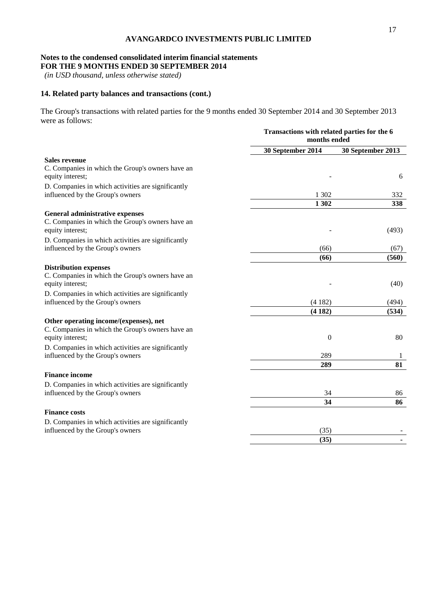### **Notes to the condensed consolidated interim financial statements FOR THE 9 MONTHS ENDED 30 SEPTEMBER 2014**

*(in USD thousand, unless otherwise stated)*

# **14. Related party balances and transactions (cont.)**

The Group's transactions with related parties for the 9 months ended 30 September 2014 and 30 September 2013 were as follows:

|                                                                                                                | Transactions with related parties for the 6<br>months ended |                   |
|----------------------------------------------------------------------------------------------------------------|-------------------------------------------------------------|-------------------|
|                                                                                                                | 30 September 2014                                           | 30 September 2013 |
| <b>Sales revenue</b>                                                                                           |                                                             |                   |
| C. Companies in which the Group's owners have an<br>equity interest;                                           |                                                             | 6                 |
| D. Companies in which activities are significantly<br>influenced by the Group's owners                         | 1 3 0 2                                                     | 332               |
|                                                                                                                | 1 302                                                       | 338               |
| <b>General administrative expenses</b><br>C. Companies in which the Group's owners have an<br>equity interest; |                                                             | (493)             |
| D. Companies in which activities are significantly<br>influenced by the Group's owners                         | (66)                                                        | (67)              |
|                                                                                                                | (66)                                                        | (560)             |
| <b>Distribution expenses</b><br>C. Companies in which the Group's owners have an<br>equity interest;           |                                                             | (40)              |
| D. Companies in which activities are significantly                                                             |                                                             |                   |
| influenced by the Group's owners                                                                               | (4182)                                                      | (494)             |
|                                                                                                                | (4182)                                                      | (534)             |
| Other operating income/(expenses), net<br>C. Companies in which the Group's owners have an<br>equity interest; | $\theta$                                                    | 80                |
| D. Companies in which activities are significantly                                                             |                                                             |                   |
| influenced by the Group's owners                                                                               | 289                                                         | 1                 |
|                                                                                                                | 289                                                         | 81                |
| <b>Finance income</b>                                                                                          |                                                             |                   |
| D. Companies in which activities are significantly                                                             |                                                             |                   |
| influenced by the Group's owners                                                                               | 34                                                          | 86                |
|                                                                                                                | 34                                                          | 86                |
| <b>Finance costs</b>                                                                                           |                                                             |                   |
| D. Companies in which activities are significantly                                                             |                                                             |                   |
| influenced by the Group's owners                                                                               | (35)                                                        |                   |
|                                                                                                                | (35)                                                        |                   |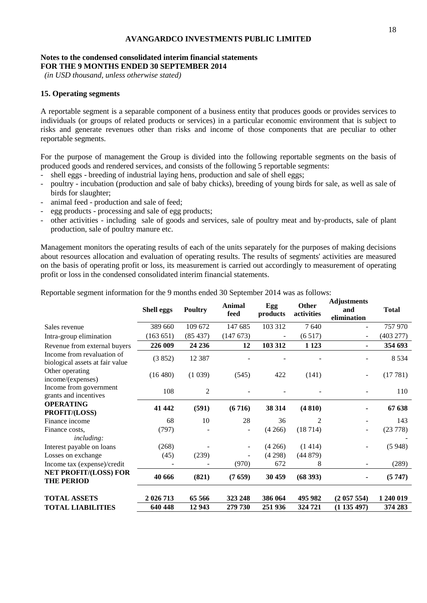# **Notes to the condensed consolidated interim financial statements FOR THE 9 MONTHS ENDED 30 SEPTEMBER 2014**

*(in USD thousand, unless otherwise stated)*

# **15. Operating segments**

A reportable segment is a separable component of a business entity that produces goods or provides services to individuals (or groups of related products or services) in a particular economic environment that is subject to risks and generate revenues other than risks and income of those components that are peculiar to other reportable segments.

For the purpose of management the Group is divided into the following reportable segments on the basis of produced goods and rendered services, and consists of the following 5 reportable segments:

- shell eggs breeding of industrial laying hens, production and sale of shell eggs;
- poultry incubation (production and sale of baby chicks), breeding of young birds for sale, as well as sale of birds for slaughter;
- animal feed production and sale of feed;
- egg products processing and sale of egg products;
- other activities including sale of goods and services, sale of poultry meat and by-products, sale of plant production, sale of poultry manure etc.

Management monitors the operating results of each of the units separately for the purposes of making decisions about resources allocation and evaluation of operating results. The results of segments' activities are measured on the basis of operating profit or loss, its measurement is carried out accordingly to measurement of operating profit or loss in the condensed consolidated interim financial statements.

Reportable segment information for the 9 months ended 30 September 2014 was as follows:

|                                                               | <b>Shell eggs</b> | <b>Poultry</b> | <b>Animal</b><br>feed | Egg<br>products | <b>Other</b><br>activities | Aujustments<br>and<br>elimination | <b>Total</b> |
|---------------------------------------------------------------|-------------------|----------------|-----------------------|-----------------|----------------------------|-----------------------------------|--------------|
| Sales revenue                                                 | 389 660           | 109 672        | 147 685               | 103 312         | 7640                       |                                   | 757 970      |
| Intra-group elimination                                       | (163 651)         | (85437)        | (147673)              |                 | (6517)                     | ٠                                 | (403 277)    |
| Revenue from external buyers                                  | 226 009           | 24 23 6        | 12                    | 103 312         | 1 1 2 3                    |                                   | 354 693      |
| Income from revaluation of<br>biological assets at fair value | (3852)            | 12 3 8 7       |                       |                 |                            |                                   | 8 5 3 4      |
| Other operating<br>income/(expenses)                          | (16 480)          | (1039)         | (545)                 | 422             | (141)                      | ٠                                 | (17781)      |
| Income from government<br>grants and incentives               | 108               | $\overline{c}$ |                       |                 |                            |                                   | 110          |
| <b>OPERATING</b><br>PROFIT/(LOSS)                             | 41 442            | (591)          | (6716)                | 38 314          | (4810)                     |                                   | 67 638       |
| Finance income                                                | 68                | 10             | 28                    | 36              | 2                          |                                   | 143          |
| Finance costs,<br><i>including:</i>                           | (797)             |                |                       | (4266)          | (18714)                    | $\overline{\phantom{a}}$          | (23 778)     |
| Interest payable on loans                                     | (268)             |                |                       | (4266)          | (1414)                     |                                   | (5948)       |
| Losses on exchange                                            | (45)              | (239)          |                       | (4298)          | (44879)                    |                                   |              |
| Income tax (expense)/credit                                   |                   |                | (970)                 | 672             | 8                          |                                   | (289)        |
| <b>NET PROFIT/(LOSS) FOR</b><br><b>THE PERIOD</b>             | 40 666            | (821)          | (7659)                | 30 459          | (68393)                    | ۰                                 | (5747)       |
| <b>TOTAL ASSETS</b>                                           | 2 026 713         | 65 566         | 323 248               | 386 064         | 495 982                    | (2057554)                         | 1 240 019    |
| <b>TOTAL LIABILITIES</b>                                      | 640 448           | 12 943         | 279 730               | 251 936         | 324 721                    | (1135497)                         | 374 283      |

**Adjustments**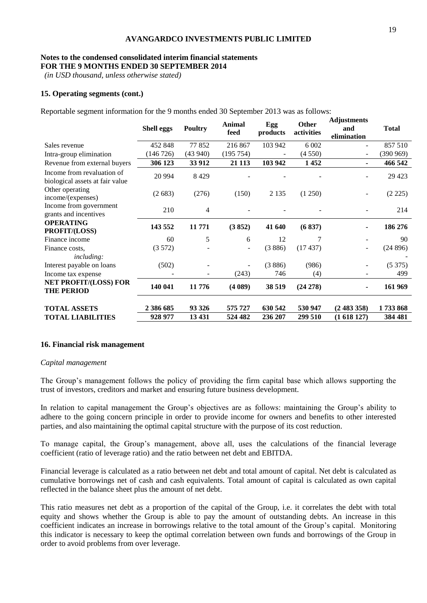## **Notes to the condensed consolidated interim financial statements FOR THE 9 MONTHS ENDED 30 SEPTEMBER 2014**

*(in USD thousand, unless otherwise stated)*

# **15. Operating segments (cont.)**

Reportable segment information for the 9 months ended 30 September 2013 was as follows:

|                                                               | <b>Shell eggs</b> | <b>Poultry</b> | <b>Animal</b><br>feed | Egg<br>products | Other<br>activities | <b>Adjustments</b><br>and<br>elimination | <b>Total</b> |
|---------------------------------------------------------------|-------------------|----------------|-----------------------|-----------------|---------------------|------------------------------------------|--------------|
| Sales revenue                                                 | 452 848           | 77852          | 216 867               | 103 942         | 6 0 0 2             |                                          | 857 510      |
| Intra-group elimination                                       | (146726)          | (43940)        | (195 754)             |                 | (4550)              | $\overline{\phantom{a}}$                 | (390969)     |
| Revenue from external buyers                                  | 306 123           | 33 912         | 21 1 13               | 103 942         | 1452                | $\blacksquare$                           | 466 542      |
| Income from revaluation of<br>biological assets at fair value | 20 9 94           | 8429           |                       |                 |                     |                                          | 29 4 23      |
| Other operating<br>income/(expenses)                          | (2683)            | (276)          | (150)                 | 2 1 3 5         | (1 250)             |                                          | (2 225)      |
| Income from government<br>grants and incentives               | 210               | 4              |                       |                 |                     |                                          | 214          |
| <b>OPERATING</b><br>PROFIT/(LOSS)                             | 143 552           | 11 771         | (3852)                | 41 640          | (6837)              |                                          | 186 276      |
| Finance income                                                | 60                | 5              | 6                     | 12              | 7                   |                                          | 90           |
| Finance costs.<br><i>including:</i>                           | (3572)            |                | $\sim$                | (3886)          | (17437)             | $\overline{\phantom{a}}$                 | (24896)      |
| Interest payable on loans                                     | (502)             |                |                       | (3886)          | (986)               |                                          | (5375)       |
| Income tax expense                                            |                   |                | (243)                 | 746             | (4)                 |                                          | 499          |
| <b>NET PROFIT/(LOSS) FOR</b><br><b>THE PERIOD</b>             | 140 041           | 11 776         | (4089)                | 38 519          | (24 278)            | ۰                                        | 161 969      |
| <b>TOTAL ASSETS</b>                                           | 2 386 685         | 93 326         | 575 727               | 630 542         | 530 947             | (2483358)                                | 1733868      |
| <b>TOTAL LIABILITIES</b>                                      | 928 977           | 13 431         | 524 482               | 236 207         | 299 510             | (1618127)                                | 384 481      |

# **16. Financial risk management**

#### *Capital management*

The Group's management follows the policy of providing the firm capital base which allows supporting the trust of investors, creditors and market and ensuring future business development.

In relation to capital management the Group's objectives are as follows: maintaining the Group's ability to adhere to the going concern principle in order to provide income for owners and benefits to other interested parties, and also maintaining the optimal capital structure with the purpose of its cost reduction.

To manage capital, the Group's management, above all, uses the calculations of the financial leverage coefficient (ratio of leverage ratio) and the ratio between net debt and EBITDA.

Financial leverage is calculated as a ratio between net debt and total amount of capital. Net debt is calculated as cumulative borrowings net of cash and cash equivalents. Total amount of capital is calculated as own capital reflected in the balance sheet plus the amount of net debt.

This ratio measures net debt as a proportion of the capital of the Group, i.e. it correlates the debt with total equity and shows whether the Group is able to pay the amount of outstanding debts. An increase in this coefficient indicates an increase in borrowings relative to the total amount of the Group's capital. Monitoring this indicator is necessary to keep the optimal correlation between own funds and borrowings of the Group in order to avoid problems from over leverage.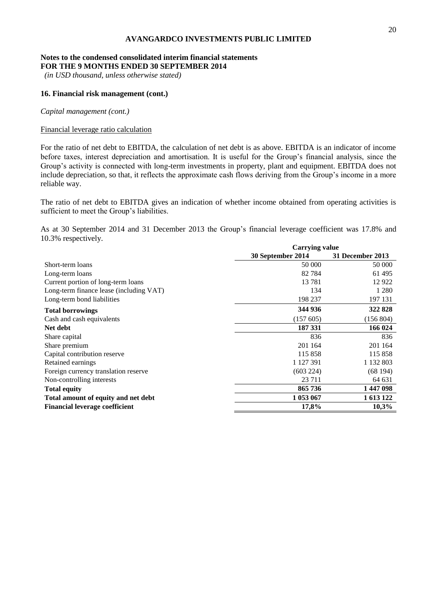#### **Notes to the condensed consolidated interim financial statements FOR THE 9 MONTHS ENDED 30 SEPTEMBER 2014**

*(in USD thousand, unless otherwise stated)*

# **16. Financial risk management (cont.)**

*Capital management (cont.)*

# Financial leverage ratio calculation

For the ratio of net debt to EBITDA, the calculation of net debt is as above. EBITDA is an indicator of income before taxes, interest depreciation and amortisation. It is useful for the Group's financial analysis, since the Group's activity is connected with long-term investments in property, plant and equipment. EBITDA does not include depreciation, so that, it reflects the approximate cash flows deriving from the Group's income in a more reliable way.

The ratio of net debt to EBITDA gives an indication of whether income obtained from operating activities is sufficient to meet the Group's liabilities.

As at 30 September 2014 and 31 December 2013 the Group's financial leverage coefficient was 17.8% and 10.3% respectively.

|                                         | <b>Carrying value</b> |                  |  |  |  |
|-----------------------------------------|-----------------------|------------------|--|--|--|
|                                         | 30 September 2014     | 31 December 2013 |  |  |  |
| Short-term loans                        | 50 000                | 50 000           |  |  |  |
| Long-term loans                         | 82784                 | 61 495           |  |  |  |
| Current portion of long-term loans      | 13 781                | 12922            |  |  |  |
| Long-term finance lease (including VAT) | 134                   | 1 2 8 0          |  |  |  |
| Long-term bond liabilities              | 198 237               | 197 131          |  |  |  |
| <b>Total borrowings</b>                 | 344 936               | 322 828          |  |  |  |
| Cash and cash equivalents               | (157605)              | (156 804)        |  |  |  |
| Net debt                                | 187 331               | 166 024          |  |  |  |
| Share capital                           | 836                   | 836              |  |  |  |
| Share premium                           | 201 164               | 201 164          |  |  |  |
| Capital contribution reserve            | 115 858               | 115 858          |  |  |  |
| Retained earnings                       | 1 127 391             | 1 132 803        |  |  |  |
| Foreign currency translation reserve    | (603 224)             | (68194)          |  |  |  |
| Non-controlling interests               | 23 7 11               | 64 631           |  |  |  |
| <b>Total equity</b>                     | 865736                | 1447098          |  |  |  |
| Total amount of equity and net debt     | 1 053 067             | 1 613 122        |  |  |  |
| <b>Financial leverage coefficient</b>   | 17,8%                 | 10,3%            |  |  |  |